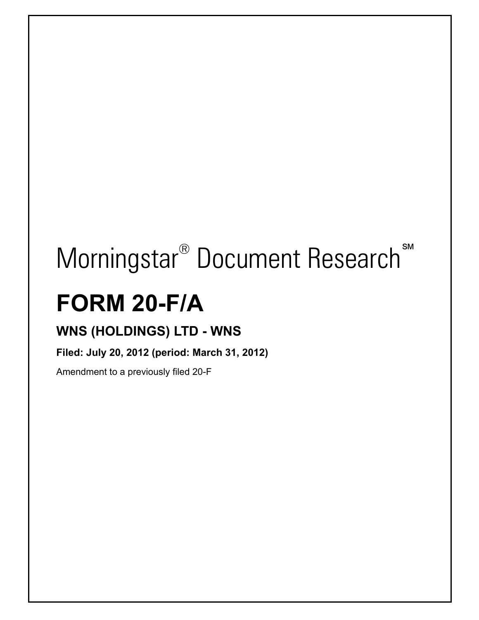# **Morningstar<sup>®</sup> Document Research**<sup>™</sup>

## **FORM 20-F/A**

 $\overline{\phantom{a}}$ 

## **WNS (HOLDINGS) LTD - WNS**

## **Filed: July 20, 2012 (period: March 31, 2012)**

Amendment to a previously filed 20-F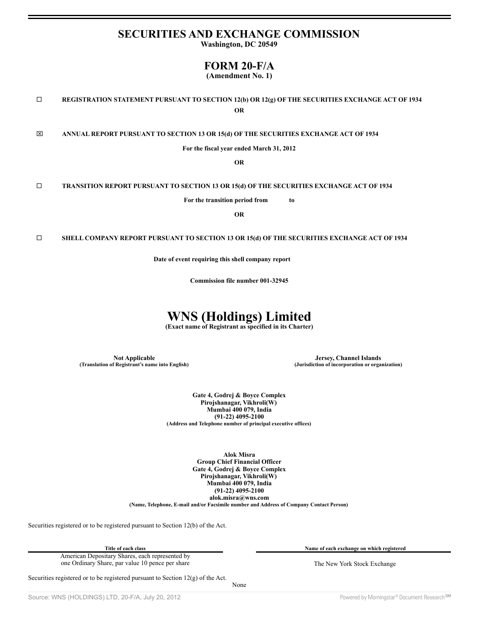#### **SECURITIES AND EXCHANGE COMMISSION**

**Washington, DC 20549**

### **FORM 20-F/A**

**(Amendment No. 1)**

� **REGISTRATION STATEMENT PURSUANT TO SECTION 12(b) OR 12(g) OF THE SECURITIES EXCHANGE ACT OF 1934 OR**

⌧ **ANNUAL REPORT PURSUANT TO SECTION 13 OR 15(d) OF THE SECURITIES EXCHANGE ACT OF 1934**

**For the fiscal year ended March 31, 2012**

**OR**

#### $\Box$  **TRANSITION REPORT PURSUANT TO SECTION 13 OR 15(d) OF THE SECURITIES EXCHANGE ACT OF 1934**

**For the transition period from to**

**OR**

� **SHELL COMPANY REPORT PURSUANT TO SECTION 13 OR 15(d) OF THE SECURITIES EXCHANGE ACT OF 1934**

**Date of event requiring this shell company report** 

**Commission file number 001-32945**

## **WNS (Holdings) Limited**

**(Exact name of Registrant as specified in its Charter)**

**(Translation of Registrant's name into English) (Jurisdiction of incorporation or organization)**

**Not Applicable Jersey, Channel Islands**

**Gate 4, Godrej & Boyce Complex Pirojshanagar, Vikhroli(W) Mumbai 400 079, India (91-22) 4095-2100 (Address and Telephone number of principal executive offices)**

> **Alok Misra Group Chief Financial Officer Gate 4, Godrej & Boyce Complex Pirojshanagar, Vikhroli(W) Mumbai 400 079, India (91-22) 4095-2100 alok.misra@wns.com**

**(Name, Telephone, E-mail and/or Facsimile number and Address of Company Contact Person)**

Securities registered or to be registered pursuant to Section 12(b) of the Act.

American Depositary Shares, each represented by one Ordinary Share, par value 10 pence per share The New York Stock Exchange The New York Stock Exchange

**Title of each class Name of each exchange on which registered**

Securities registered or to be registered pursuant to Section 12(g) of the Act.

None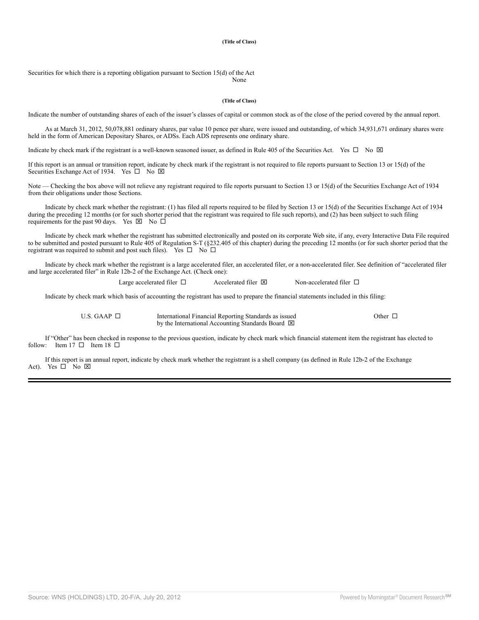Securities for which there is a reporting obligation pursuant to Section 15(d) of the Act None

#### **(Title of Class)**

Indicate the number of outstanding shares of each of the issuer's classes of capital or common stock as of the close of the period covered by the annual report.

As at March 31, 2012, 50,078,881 ordinary shares, par value 10 pence per share, were issued and outstanding, of which 34,931,671 ordinary shares were held in the form of American Depositary Shares, or ADSs. Each ADS represents one ordinary share.

Indicate by check mark if the registrant is a well-known seasoned issuer, as defined in Rule 405 of the Securities Act. Yes  $\Box$  No  $\boxtimes$ 

If this report is an annual or transition report, indicate by check mark if the registrant is not required to file reports pursuant to Section 13 or 15(d) of the Securities Exchange Act of 1934. Yes  $\Box$  No  $\boxtimes$ 

Note — Checking the box above will not relieve any registrant required to file reports pursuant to Section 13 or 15(d) of the Securities Exchange Act of 1934 from their obligations under those Sections.

Indicate by check mark whether the registrant: (1) has filed all reports required to be filed by Section 13 or 15(d) of the Securities Exchange Act of 1934 during the preceding 12 months (or for such shorter period that the registrant was required to file such reports), and (2) has been subject to such filing requirements for the past 90 days. Yes  $\boxtimes$  No  $\Box$ 

Indicate by check mark whether the registrant has submitted electronically and posted on its corporate Web site, if any, every Interactive Data File required to be submitted and posted pursuant to Rule 405 of Regulation S-T (§232.405 of this chapter) during the preceding 12 months (or for such shorter period that the registrant was required to submit and post such files). Yes  $\Box$  No  $\Box$ 

Indicate by check mark whether the registrant is a large accelerated filer, an accelerated filer, or a non-accelerated filer. See definition of "accelerated filer and large accelerated filer" in Rule 12b-2 of the Exchange Act. (Check one):

Large accelerated filer  $\Box$  Accelerated filer  $\Box$  Non-accelerated filer  $\Box$ 

Indicate by check mark which basis of accounting the registrant has used to prepare the financial statements included in this filing:

U.S. GAAP  $\Box$ International Financial Reporting Standards as issued by the International Accounting Standards Board  $\boxtimes$ Other  $\Box$ 

If "Other" has been checked in response to the previous question, indicate by check mark which financial statement item the registrant has elected to follow: Item 17  $\Box$  Item 18  $\Box$ 

If this report is an annual report, indicate by check mark whether the registrant is a shell company (as defined in Rule 12b-2 of the Exchange Act). Yes  $\square$  No  $\square$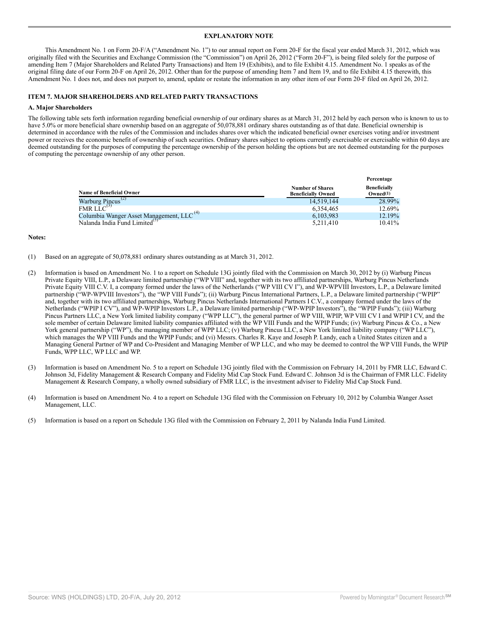#### **EXPLANATORY NOTE**

This Amendment No. 1 on Form 20-F/A ("Amendment No. 1") to our annual report on Form 20-F for the fiscal year ended March 31, 2012, which was originally filed with the Securities and Exchange Commission (the "Commission") on April 26, 2012 ("Form 20-F"), is being filed solely for the purpose of amending Item 7 (Major Shareholders and Related Party Transactions) and Item 19 (Exhibits), and to file Exhibit 4.15. Amendment No. 1 speaks as of the original filing date of our Form 20-F on April 26, 2012. Other than for the purpose of amending Item 7 and Item 19, and to file Exhibit 4.15 therewith, this Amendment No. 1 does not, and does not purport to, amend, update or restate the information in any other item of our Form 20-F filed on April 26, 2012.

#### **ITEM 7. MAJOR SHAREHOLDERS AND RELATED PARTY TRANSACTIONS**

#### **A. Major Shareholders**

The following table sets forth information regarding beneficial ownership of our ordinary shares as at March 31, 2012 held by each person who is known to us to have 5.0% or more beneficial share ownership based on an aggregate of 50,078,881 ordinary shares outstanding as of that date. Beneficial ownership is determined in accordance with the rules of the Commission and includes shares over which the indicated beneficial owner exercises voting and/or investment power or receives the economic benefit of ownership of such securities. Ordinary shares subject to options currently exercisable or exercisable within 60 days are deemed outstanding for the purposes of computing the percentage ownership of the person holding the options but are not deemed outstanding for the purposes of computing the percentage ownership of any other person.

|                                                                                                   |                                                      | Percentage                      |
|---------------------------------------------------------------------------------------------------|------------------------------------------------------|---------------------------------|
| <b>Name of Beneficial Owner</b>                                                                   | <b>Number of Shares</b><br><b>Beneficially Owned</b> | <b>Beneficially</b><br>Owned(1) |
| Warburg Pincus <sup>(2)</sup><br>FMR LLC <sup>(3)</sup>                                           | 14.519.144                                           | 28.99%                          |
|                                                                                                   | 6.354.465                                            | 12.69%                          |
|                                                                                                   | 6,103,983                                            | 12.19%                          |
| Columbia Wanger Asset Management, LLC <sup>(4)</sup><br>Nalanda India Fund Limited <sup>(5)</sup> | 5,211,410                                            | 10.41%                          |

#### **Notes:**

- (1) Based on an aggregate of 50,078,881 ordinary shares outstanding as at March 31, 2012.
- (2) Information is based on Amendment No. 1 to a report on Schedule 13G jointly filed with the Commission on March 30, 2012 by (i) Warburg Pincus Private Equity VIII, L.P., a Delaware limited partnership ("WP VIII" and, together with its two affiliated partnerships, Warburg Pincus Netherlands Private Equity VIII C.V. I, a company formed under the laws of the Netherlands ("WP VIII CV I"), and WP-WPVIII Investors, L.P., a Delaware limited partnership ("WP-WPVIII Investors"), the "WP VIII Funds"); (ii) Warburg Pincus International Partners, L.P., a Delaware limited partnership ("WPIP" and, together with its two affiliated partnerships, Warburg Pincus Netherlands International Partners I C.V., a company formed under the laws of the Netherlands ("WPIP I CV"), and WP-WPIP Investors L.P., a Delaware limited partnership ("WP-WPIP Investors"), the "WPIP Funds"); (iii) Warburg Pincus Partners LLC, a New York limited liability company ("WPP LLC"), the general partner of WP VIII, WPIP, WP VIII CV I and WPIP I CV, and the sole member of certain Delaware limited liability companies affiliated with the WP VIII Funds and the WPIP Funds; (iv) Warburg Pincus & Co., a New York general partnership ("WP"), the managing member of WPP LLC; (v) Warburg Pincus LLC, a New York limited liability company ("WP LLC"), which manages the WP VIII Funds and the WPIP Funds; and (vi) Messrs. Charles R. Kaye and Joseph P. Landy, each a United States citizen and a Managing General Partner of WP and Co-President and Managing Member of WP LLC, and who may be deemed to control the WP VIII Funds, the WPIP Funds, WPP LLC, WP LLC and WP.
- (3) Information is based on Amendment No. 5 to a report on Schedule 13G jointly filed with the Commission on February 14, 2011 by FMR LLC, Edward C. Johnson 3d, Fidelity Management & Research Company and Fidelity Mid Cap Stock Fund. Edward C. Johnson 3d is the Chairman of FMR LLC. Fidelity Management & Research Company, a wholly owned subsidiary of FMR LLC, is the investment adviser to Fidelity Mid Cap Stock Fund.
- (4) Information is based on Amendment No. 4 to a report on Schedule 13G filed with the Commission on February 10, 2012 by Columbia Wanger Asset Management, LLC.
- (5) Information is based on a report on Schedule 13G filed with the Commission on February 2, 2011 by Nalanda India Fund Limited.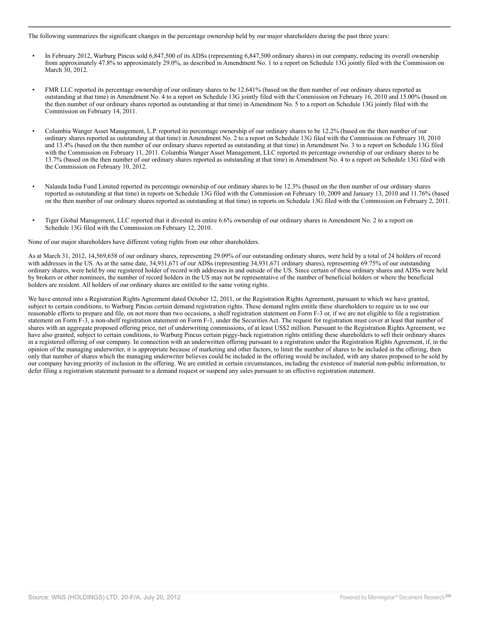The following summarizes the significant changes in the percentage ownership held by our major shareholders during the past three years:

- In February 2012, Warburg Pincus sold 6,847,500 of its ADSs (representing 6,847,500 ordinary shares) in our company, reducing its overall ownership from approximately 47.8% to approximately 29.0%, as described in Amendment No. 1 to a report on Schedule 13G jointly filed with the Commission on March 30, 2012.
- FMR LLC reported its percentage ownership of our ordinary shares to be 12.641% (based on the then number of our ordinary shares reported as outstanding at that time) in Amendment No. 4 to a report on Schedule 13G jointly filed with the Commission on February 16, 2010 and 15.00% (based on the then number of our ordinary shares reported as outstanding at that time) in Amendment No. 5 to a report on Schedule 13G jointly filed with the Commission on February 14, 2011.
- Columbia Wanger Asset Management, L.P. reported its percentage ownership of our ordinary shares to be 12.2% (based on the then number of our ordinary shares reported as outstanding at that time) in Amendment No. 2 to a report on Schedule 13G filed with the Commission on February 10, 2010 and 13.4% (based on the then number of our ordinary shares reported as outstanding at that time) in Amendment No. 3 to a report on Schedule 13G filed with the Commission on February 11, 2011. Columbia Wanger Asset Management, LLC reported its percentage ownership of our ordinary shares to be 13.7% (based on the then number of our ordinary shares reported as outstanding at that time) in Amendment No. 4 to a report on Schedule 13G filed with the Commission on February 10, 2012.
- Nalanda India Fund Limited reported its percentage ownership of our ordinary shares to be 12.3% (based on the then number of our ordinary shares reported as outstanding at that time) in reports on Schedule 13G filed with the Commission on February 10, 2009 and January 13, 2010 and 11.76% (based on the then number of our ordinary shares reported as outstanding at that time) in reports on Schedule 13G filed with the Commission on February 2, 2011.
- Tiger Global Management, LLC reported that it divested its entire 6.6% ownership of our ordinary shares in Amendment No. 2 to a report on Schedule 13G filed with the Commission on February 12, 2010.

None of our major shareholders have different voting rights from our other shareholders.

As at March 31, 2012, 14,569,658 of our ordinary shares, representing 29.09% of our outstanding ordinary shares, were held by a total of 24 holders of record with addresses in the US. As at the same date, 34,931,671 of our ADSs (representing 34,931,671 ordinary shares), representing 69.75% of our outstanding ordinary shares, were held by one registered holder of record with addresses in and outside of the US. Since certain of these ordinary shares and ADSs were held by brokers or other nominees, the number of record holders in the US may not be representative of the number of beneficial holders or where the beneficial holders are resident. All holders of our ordinary shares are entitled to the same voting rights.

We have entered into a Registration Rights Agreement dated October 12, 2011, or the Registration Rights Agreement, pursuant to which we have granted, subject to certain conditions, to Warburg Pincus certain demand registration rights. These demand rights entitle these shareholders to require us to use our reasonable efforts to prepare and file, on not more than two occasions, a shelf registration statement on Form F-3 or, if we are not eligible to file a registration statement on Form F-3, a non-shelf registration statement on Form F-1, under the Securities Act. The request for registration must cover at least that number of shares with an aggregate proposed offering price, net of underwriting commissions, of at least US\$2 million. Pursuant to the Registration Rights Agreement, we have also granted, subject to certain conditions, to Warburg Pincus certain piggy-back registration rights entitling these shareholders to sell their ordinary shares in a registered offering of our company. In connection with an underwritten offering pursuant to a registration under the Registration Rights Agreement, if, in the opinion of the managing underwriter, it is appropriate because of marketing and other factors, to limit the number of shares to be included in the offering, then only that number of shares which the managing underwriter believes could be included in the offering would be included, with any shares proposed to be sold by our company having priority of inclusion in the offering. We are entitled in certain circumstances, including the existence of material non-public information, to defer filing a registration statement pursuant to a demand request or suspend any sales pursuant to an effective registration statement.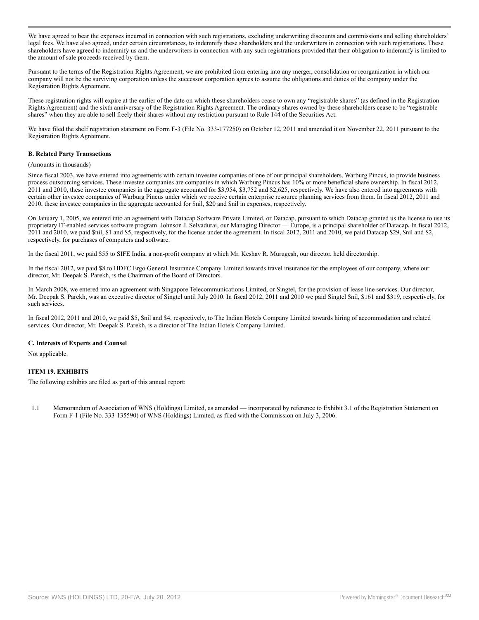We have agreed to bear the expenses incurred in connection with such registrations, excluding underwriting discounts and commissions and selling shareholders' legal fees. We have also agreed, under certain circumstances, to indemnify these shareholders and the underwriters in connection with such registrations. These shareholders have agreed to indemnify us and the underwriters in connection with any such registrations provided that their obligation to indemnify is limited to the amount of sale proceeds received by them.

Pursuant to the terms of the Registration Rights Agreement, we are prohibited from entering into any merger, consolidation or reorganization in which our company will not be the surviving corporation unless the successor corporation agrees to assume the obligations and duties of the company under the Registration Rights Agreement.

These registration rights will expire at the earlier of the date on which these shareholders cease to own any "registrable shares" (as defined in the Registration Rights Agreement) and the sixth anniversary of the Registration Rights Agreement. The ordinary shares owned by these shareholders cease to be "registrable shares" when they are able to sell freely their shares without any restriction pursuant to Rule 144 of the Securities Act.

We have filed the shelf registration statement on Form F-3 (File No. 333-177250) on October 12, 2011 and amended it on November 22, 2011 pursuant to the Registration Rights Agreement.

#### **B. Related Party Transactions**

#### (Amounts in thousands)

Since fiscal 2003, we have entered into agreements with certain investee companies of one of our principal shareholders, Warburg Pincus, to provide business process outsourcing services. These investee companies are companies in which Warburg Pincus has 10% or more beneficial share ownership. In fiscal 2012, 2011 and 2010, these investee companies in the aggregate accounted for \$3,954, \$3,752 and \$2,625, respectively. We have also entered into agreements with certain other investee companies of Warburg Pincus under which we receive certain enterprise resource planning services from them. In fiscal 2012, 2011 and 2010, these investee companies in the aggregate accounted for \$nil, \$20 and \$nil in expenses, respectively.

On January 1, 2005, we entered into an agreement with Datacap Software Private Limited, or Datacap, pursuant to which Datacap granted us the license to use its proprietary IT-enabled services software program. Johnson J. Selvadurai, our Managing Director — Europe, is a principal shareholder of Datacap**.** In fiscal 2012, 2011 and 2010, we paid \$nil, \$1 and \$5, respectively, for the license under the agreement. In fiscal 2012, 2011 and 2010, we paid Datacap \$29, \$nil and \$2, respectively, for purchases of computers and software.

In the fiscal 2011, we paid \$55 to SIFE India, a non-profit company at which Mr. Keshav R. Murugesh, our director, held directorship.

In the fiscal 2012, we paid \$8 to HDFC Ergo General Insurance Company Limited towards travel insurance for the employees of our company, where our director, Mr. Deepak S. Parekh, is the Chairman of the Board of Directors.

In March 2008, we entered into an agreement with Singapore Telecommunications Limited, or Singtel, for the provision of lease line services. Our director, Mr. Deepak S. Parekh, was an executive director of Singtel until July 2010. In fiscal 2012, 2011 and 2010 we paid Singtel \$nil, \$161 and \$319, respectively, for such services.

In fiscal 2012, 2011 and 2010, we paid \$5, \$nil and \$4, respectively, to The Indian Hotels Company Limited towards hiring of accommodation and related services. Our director, Mr. Deepak S. Parekh, is a director of The Indian Hotels Company Limited.

#### **C. Interests of Experts and Counsel**

Not applicable.

#### **ITEM 19. EXHIBITS**

The following exhibits are filed as part of this annual report:

 1.1 Memorandum of Association of WNS (Holdings) Limited, as amended — incorporated by reference to Exhibit 3.1 of the Registration Statement on Form F-1 (File No. 333-135590) of WNS (Holdings) Limited, as filed with the Commission on July 3, 2006.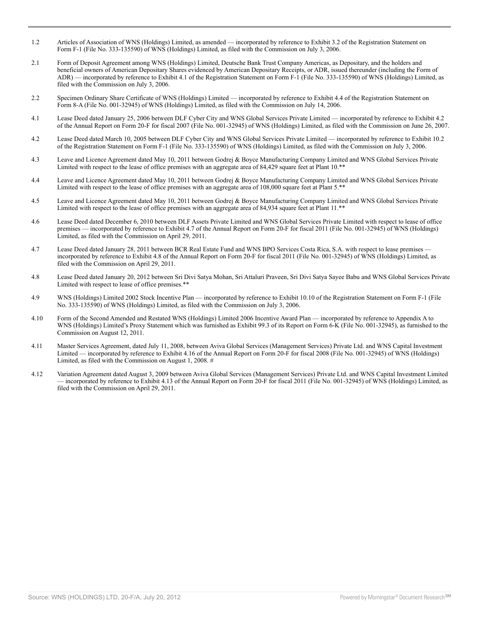- 1.2 Articles of Association of WNS (Holdings) Limited, as amended — incorporated by reference to Exhibit 3.2 of the Registration Statement on Form F-1 (File No. 333-135590) of WNS (Holdings) Limited, as filed with the Commission on July 3, 2006.
- 2.1 Form of Deposit Agreement among WNS (Holdings) Limited, Deutsche Bank Trust Company Americas, as Depositary, and the holders and beneficial owners of American Depositary Shares evidenced by American Depositary Receipts, or ADR, issued thereunder (including the Form of ADR) — incorporated by reference to Exhibit 4.1 of the Registration Statement on Form F-1 (File No. 333-135590) of WNS (Holdings) Limited, as filed with the Commission on July 3, 2006.
- 2.2 Specimen Ordinary Share Certificate of WNS (Holdings) Limited — incorporated by reference to Exhibit 4.4 of the Registration Statement on Form 8-A (File No. 001-32945) of WNS (Holdings) Limited, as filed with the Commission on July 14, 2006.
- 4.1 Lease Deed dated January 25, 2006 between DLF Cyber City and WNS Global Services Private Limited — incorporated by reference to Exhibit 4.2 of the Annual Report on Form 20-F for fiscal 2007 (File No. 001-32945) of WNS (Holdings) Limited, as filed with the Commission on June 26, 2007.
- 4.2 Lease Deed dated March 10, 2005 between DLF Cyber City and WNS Global Services Private Limited — incorporated by reference to Exhibit 10.2 of the Registration Statement on Form F-1 (File No. 333-135590) of WNS (Holdings) Limited, as filed with the Commission on July 3, 2006.
- 4.3 Leave and Licence Agreement dated May 10, 2011 between Godrej & Boyce Manufacturing Company Limited and WNS Global Services Private Limited with respect to the lease of office premises with an aggregate area of 84,429 square feet at Plant 10.\*\*
- 4.4 Leave and Licence Agreement dated May 10, 2011 between Godrej & Boyce Manufacturing Company Limited and WNS Global Services Private Limited with respect to the lease of office premises with an aggregate area of 108,000 square feet at Plant 5.\*\*
- 4.5 Leave and Licence Agreement dated May 10, 2011 between Godrej & Boyce Manufacturing Company Limited and WNS Global Services Private Limited with respect to the lease of office premises with an aggregate area of 84,934 square feet at Plant 11.\*\*
- 4.6 Lease Deed dated December 6, 2010 between DLF Assets Private Limited and WNS Global Services Private Limited with respect to lease of office premises — incorporated by reference to Exhibit 4.7 of the Annual Report on Form 20-F for fiscal 2011 (File No. 001-32945) of WNS (Holdings) Limited, as filed with the Commission on April 29, 2011.
- 4.7 Lease Deed dated January 28, 2011 between BCR Real Estate Fund and WNS BPO Services Costa Rica, S.A. with respect to lease premises incorporated by reference to Exhibit 4.8 of the Annual Report on Form 20-F for fiscal 2011 (File No. 001-32945) of WNS (Holdings) Limited, as filed with the Commission on April 29, 2011.
- 4.8 Lease Deed dated January 20, 2012 between Sri Divi Satya Mohan, Sri Attaluri Praveen, Sri Divi Satya Sayee Babu and WNS Global Services Private Limited with respect to lease of office premises.\*\*
- 4.9 WNS (Holdings) Limited 2002 Stock Incentive Plan — incorporated by reference to Exhibit 10.10 of the Registration Statement on Form F-1 (File No. 333-135590) of WNS (Holdings) Limited, as filed with the Commission on July 3, 2006.
- 4.10 Form of the Second Amended and Restated WNS (Holdings) Limited 2006 Incentive Award Plan — incorporated by reference to Appendix A to WNS (Holdings) Limited's Proxy Statement which was furnished as Exhibit 99.3 of its Report on Form 6-K (File No. 001-32945), as furnished to the Commission on August 12, 2011.
- 4.11 Master Services Agreement, dated July 11, 2008, between Aviva Global Services (Management Services) Private Ltd. and WNS Capital Investment Limited — incorporated by reference to Exhibit 4.16 of the Annual Report on Form 20-F for fiscal 2008 (File No. 001-32945) of WNS (Holdings) Limited, as filed with the Commission on August 1, 2008. #
- 4.12 Variation Agreement dated August 3, 2009 between Aviva Global Services (Management Services) Private Ltd. and WNS Capital Investment Limited — incorporated by reference to Exhibit 4.13 of the Annual Report on Form 20-F for fiscal 2011 (File No. 001-32945) of WNS (Holdings) Limited, as filed with the Commission on April 29, 2011.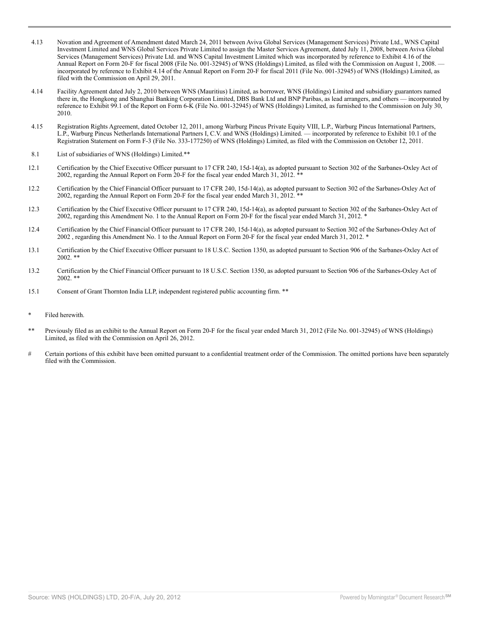- 4.13 Novation and Agreement of Amendment dated March 24, 2011 between Aviva Global Services (Management Services) Private Ltd., WNS Capital Investment Limited and WNS Global Services Private Limited to assign the Master Services Agreement, dated July 11, 2008, between Aviva Global Services (Management Services) Private Ltd. and WNS Capital Investment Limited which was incorporated by reference to Exhibit 4.16 of the Annual Report on Form 20-F for fiscal 2008 (File No. 001-32945) of WNS (Holdings) Limited, as filed with the Commission on August 1, 2008. incorporated by reference to Exhibit 4.14 of the Annual Report on Form 20-F for fiscal 2011 (File No. 001-32945) of WNS (Holdings) Limited, as filed with the Commission on April 29, 2011.
- 4.14 Facility Agreement dated July 2, 2010 between WNS (Mauritius) Limited, as borrower, WNS (Holdings) Limited and subsidiary guarantors named there in, the Hongkong and Shanghai Banking Corporation Limited, DBS Bank Ltd and BNP Paribas, as lead arrangers, and others — incorporated by reference to Exhibit 99.1 of the Report on Form 6-K (File No. 001-32945) of WNS (Holdings) Limited, as furnished to the Commission on July 30, 2010.
- 4.15 Registration Rights Agreement, dated October 12, 2011, among Warburg Pincus Private Equity VIII, L.P., Warburg Pincus International Partners, L.P., Warburg Pincus Netherlands International Partners I, C.V. and WNS (Holdings) Limited. — incorporated by reference to Exhibit 10.1 of the Registration Statement on Form F-3 (File No. 333-177250) of WNS (Holdings) Limited, as filed with the Commission on October 12, 2011.
- 8.1 List of subsidiaries of WNS (Holdings) Limited.\*\*
- 12.1 Certification by the Chief Executive Officer pursuant to 17 CFR 240, 15d-14(a), as adopted pursuant to Section 302 of the Sarbanes-Oxley Act of 2002, regarding the Annual Report on Form 20-F for the fiscal year ended March 31, 2012. \*\*
- 12.2 Certification by the Chief Financial Officer pursuant to 17 CFR 240, 15d-14(a), as adopted pursuant to Section 302 of the Sarbanes-Oxley Act of 2002, regarding the Annual Report on Form 20-F for the fiscal year ended March 31, 2012. \*\*
- 12.3 Certification by the Chief Executive Officer pursuant to 17 CFR 240, 15d-14(a), as adopted pursuant to Section 302 of the Sarbanes-Oxley Act of 2002, regarding this Amendment No. 1 to the Annual Report on Form 20-F for the fiscal year ended March 31, 2012. \*
- 12.4 Certification by the Chief Financial Officer pursuant to 17 CFR 240, 15d-14(a), as adopted pursuant to Section 302 of the Sarbanes-Oxley Act of 2002 , regarding this Amendment No. 1 to the Annual Report on Form 20-F for the fiscal year ended March 31, 2012. \*
- 13.1 Certification by the Chief Executive Officer pursuant to 18 U.S.C. Section 1350, as adopted pursuant to Section 906 of the Sarbanes-Oxley Act of 2002. \*\*
- 13.2 Certification by the Chief Financial Officer pursuant to 18 U.S.C. Section 1350, as adopted pursuant to Section 906 of the Sarbanes-Oxley Act of 2002. \*\*
- 15.1 Consent of Grant Thornton India LLP, independent registered public accounting firm. \*\*
- Filed herewith.
- \*\* Previously filed as an exhibit to the Annual Report on Form 20-F for the fiscal year ended March 31, 2012 (File No. 001-32945) of WNS (Holdings) Limited, as filed with the Commission on April 26, 2012.
- # Certain portions of this exhibit have been omitted pursuant to a confidential treatment order of the Commission. The omitted portions have been separately filed with the Commission.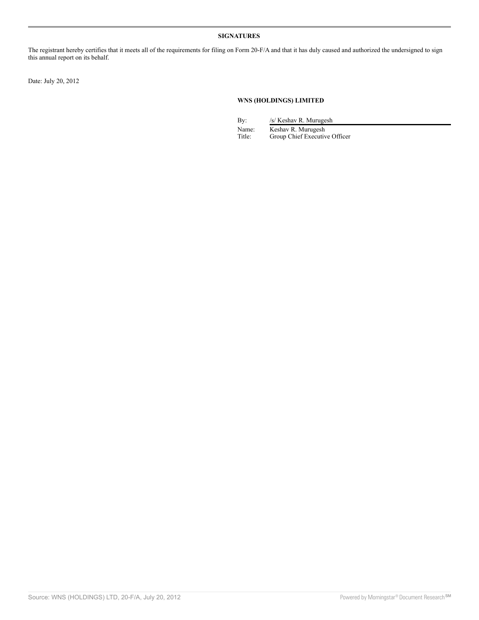#### **SIGNATURES**

The registrant hereby certifies that it meets all of the requirements for filing on Form 20-F/A and that it has duly caused and authorized the undersigned to sign this annual report on its behalf.

Date: July 20, 2012

#### **WNS (HOLDINGS) LIMITED**

By: /s/ Keshav R. Murugesh

Name: Keshav R. Murugesh<br>Title: Group Chief Executiv Group Chief Executive Officer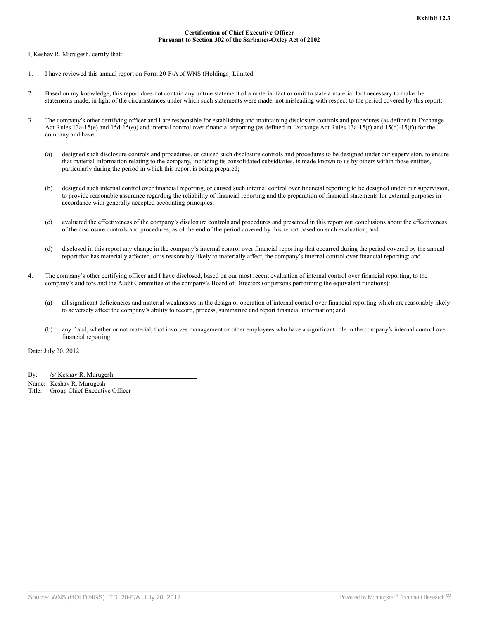#### **Certification of Chief Executive Officer Pursuant to Section 302 of the Sarbanes-Oxley Act of 2002**

I, Keshav R. Murugesh, certify that:

- 1. I have reviewed this annual report on Form 20-F/A of WNS (Holdings) Limited;
- 2. Based on my knowledge, this report does not contain any untrue statement of a material fact or omit to state a material fact necessary to make the statements made, in light of the circumstances under which such statements were made, not misleading with respect to the period covered by this report;
- 3. The company's other certifying officer and I are responsible for establishing and maintaining disclosure controls and procedures (as defined in Exchange Act Rules 13a-15(e) and 15d-15(e)) and internal control over financial reporting (as defined in Exchange Act Rules 13a-15(f) and 15(d)-15(f)) for the company and have:
	- (a) designed such disclosure controls and procedures, or caused such disclosure controls and procedures to be designed under our supervision, to ensure that material information relating to the company, including its consolidated subsidiaries, is made known to us by others within those entities, particularly during the period in which this report is being prepared;
	- (b) designed such internal control over financial reporting, or caused such internal control over financial reporting to be designed under our supervision, to provide reasonable assurance regarding the reliability of financial reporting and the preparation of financial statements for external purposes in accordance with generally accepted accounting principles;
	- (c) evaluated the effectiveness of the company's disclosure controls and procedures and presented in this report our conclusions about the effectiveness of the disclosure controls and procedures, as of the end of the period covered by this report based on such evaluation; and
	- (d) disclosed in this report any change in the company's internal control over financial reporting that occurred during the period covered by the annual report that has materially affected, or is reasonably likely to materially affect, the company's internal control over financial reporting; and
- 4. The company's other certifying officer and I have disclosed, based on our most recent evaluation of internal control over financial reporting, to the company's auditors and the Audit Committee of the company's Board of Directors (or persons performing the equivalent functions):
	- (a) all significant deficiencies and material weaknesses in the design or operation of internal control over financial reporting which are reasonably likely to adversely affect the company's ability to record, process, summarize and report financial information; and
	- (b) any fraud, whether or not material, that involves management or other employees who have a significant role in the company's internal control over financial reporting.

Date: July 20, 2012

- By: /s/ Keshav R. Murugesh
- Name: Keshav R. Murugesh<br>Title: Group Chief Executiv
- Group Chief Executive Officer